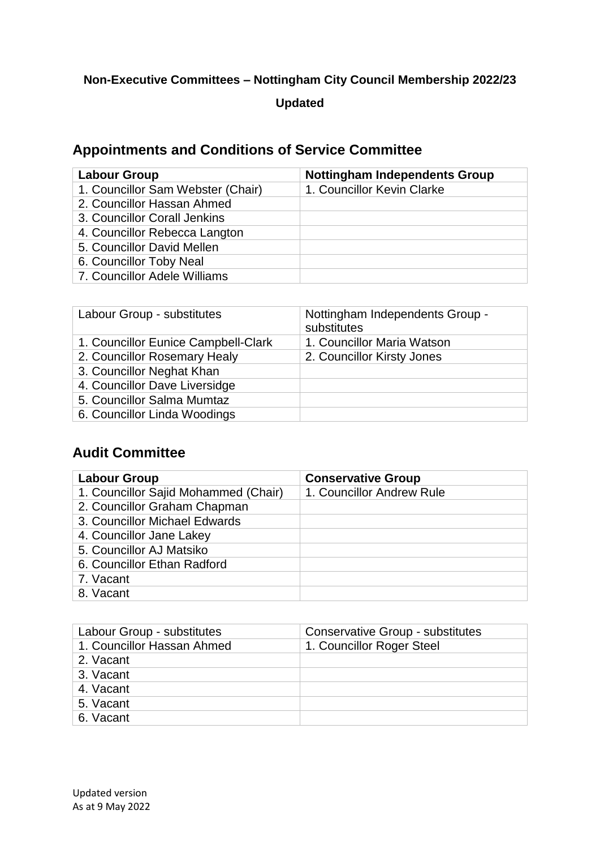### **Non-Executive Committees – Nottingham City Council Membership 2022/23**

### **Updated**

## **Appointments and Conditions of Service Committee**

| Labour Group                      | <b>Nottingham Independents Group</b> |
|-----------------------------------|--------------------------------------|
| 1. Councillor Sam Webster (Chair) | 1. Councillor Kevin Clarke           |
| 2. Councillor Hassan Ahmed        |                                      |
| 3. Councillor Corall Jenkins      |                                      |
| 4. Councillor Rebecca Langton     |                                      |
| 5. Councillor David Mellen        |                                      |
| 6. Councillor Toby Neal           |                                      |
| 7. Councillor Adele Williams      |                                      |

| Labour Group - substitutes          | Nottingham Independents Group -<br>substitutes |
|-------------------------------------|------------------------------------------------|
| 1. Councillor Eunice Campbell-Clark | 1. Councillor Maria Watson                     |
| 2. Councillor Rosemary Healy        | 2. Councillor Kirsty Jones                     |
| 3. Councillor Neghat Khan           |                                                |
| 4. Councillor Dave Liversidge       |                                                |
| 5. Councillor Salma Mumtaz          |                                                |
| 6. Councillor Linda Woodings        |                                                |

## **Audit Committee**

| <b>Labour Group</b>                  | <b>Conservative Group</b> |
|--------------------------------------|---------------------------|
| 1. Councillor Sajid Mohammed (Chair) | 1. Councillor Andrew Rule |
| 2. Councillor Graham Chapman         |                           |
| 3. Councillor Michael Edwards        |                           |
| 4. Councillor Jane Lakey             |                           |
| 5. Councillor AJ Matsiko             |                           |
| 6. Councillor Ethan Radford          |                           |
| 7. Vacant                            |                           |
| 8. Vacant                            |                           |

| Labour Group - substitutes | <b>Conservative Group - substitutes</b> |
|----------------------------|-----------------------------------------|
| 1. Councillor Hassan Ahmed | 1. Councillor Roger Steel               |
| 2. Vacant                  |                                         |
| 3. Vacant                  |                                         |
| 4. Vacant                  |                                         |
| 5. Vacant                  |                                         |
| 6. Vacant                  |                                         |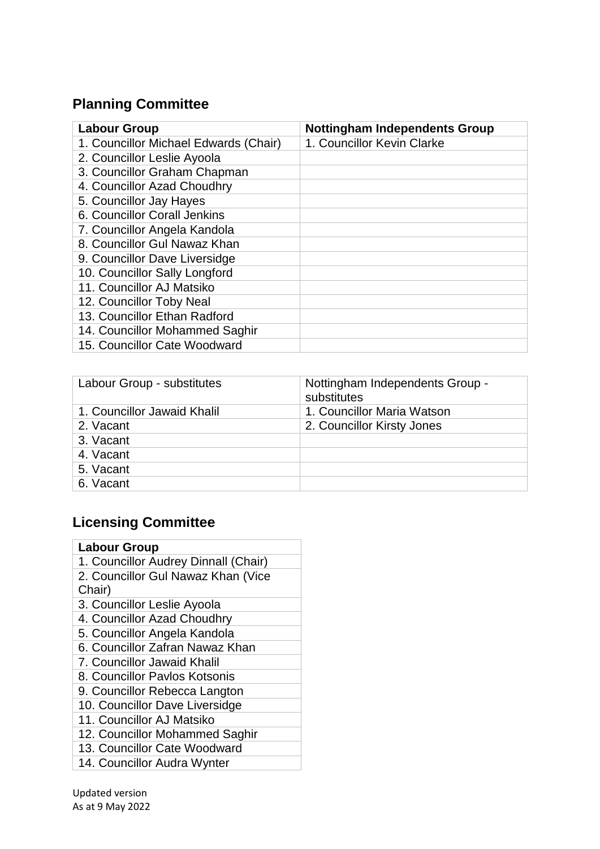# **Planning Committee**

| <b>Labour Group</b>                   | <b>Nottingham Independents Group</b> |
|---------------------------------------|--------------------------------------|
| 1. Councillor Michael Edwards (Chair) | 1. Councillor Kevin Clarke           |
| 2. Councillor Leslie Ayoola           |                                      |
| 3. Councillor Graham Chapman          |                                      |
| 4. Councillor Azad Choudhry           |                                      |
| 5. Councillor Jay Hayes               |                                      |
| 6. Councillor Corall Jenkins          |                                      |
| 7. Councillor Angela Kandola          |                                      |
| 8. Councillor Gul Nawaz Khan          |                                      |
| 9. Councillor Dave Liversidge         |                                      |
| 10. Councillor Sally Longford         |                                      |
| 11. Councillor AJ Matsiko             |                                      |
| 12. Councillor Toby Neal              |                                      |
| 13. Councillor Ethan Radford          |                                      |
| 14. Councillor Mohammed Saghir        |                                      |
| 15. Councillor Cate Woodward          |                                      |

| Labour Group - substitutes  | Nottingham Independents Group -<br>substitutes |
|-----------------------------|------------------------------------------------|
| 1. Councillor Jawaid Khalil | 1. Councillor Maria Watson                     |
| 2. Vacant                   | 2. Councillor Kirsty Jones                     |
| 3. Vacant                   |                                                |
| 4. Vacant                   |                                                |
| 5. Vacant                   |                                                |
| 6. Vacant                   |                                                |

# **Licensing Committee**

| <b>Labour Group</b>                  |  |
|--------------------------------------|--|
| 1. Councillor Audrey Dinnall (Chair) |  |
| 2. Councillor Gul Nawaz Khan (Vice   |  |
| Chair)                               |  |
| 3. Councillor Leslie Ayoola          |  |
| 4. Councillor Azad Choudhry          |  |
| 5. Councillor Angela Kandola         |  |
| 6. Councillor Zafran Nawaz Khan      |  |
| 7. Councillor Jawaid Khalil          |  |
| 8. Councillor Paylos Kotsonis        |  |
| 9. Councillor Rebecca Langton        |  |
| 10. Councillor Dave Liversidge       |  |
| 11. Councillor AJ Matsiko            |  |
| 12. Councillor Mohammed Saghir       |  |
| 13. Councillor Cate Woodward         |  |
| 14. Councillor Audra Wynter          |  |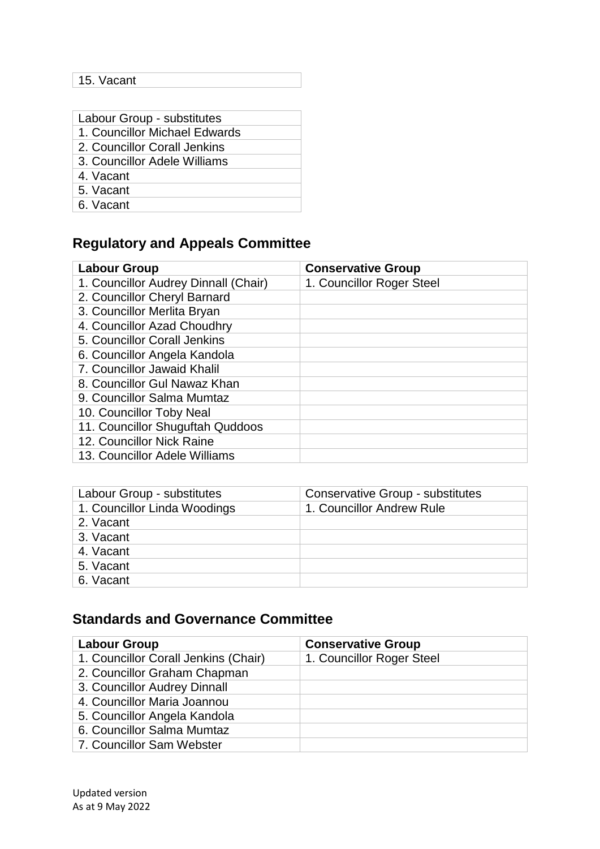### 15. Vacant

| Labour Group - substitutes    |
|-------------------------------|
| 1. Councillor Michael Edwards |
| 2. Councillor Corall Jenkins  |
| 3. Councillor Adele Williams  |
| 4. Vacant                     |
| 5. Vacant                     |
| $\sim$ $\sim$ $\sim$          |

6. Vacant

# **Regulatory and Appeals Committee**

| <b>Labour Group</b>                  | <b>Conservative Group</b> |
|--------------------------------------|---------------------------|
| 1. Councillor Audrey Dinnall (Chair) | 1. Councillor Roger Steel |
| 2. Councillor Cheryl Barnard         |                           |
| 3. Councillor Merlita Bryan          |                           |
| 4. Councillor Azad Choudhry          |                           |
| 5. Councillor Corall Jenkins         |                           |
| 6. Councillor Angela Kandola         |                           |
| 7. Councillor Jawaid Khalil          |                           |
| 8. Councillor Gul Nawaz Khan         |                           |
| 9. Councillor Salma Mumtaz           |                           |
| 10. Councillor Toby Neal             |                           |
| 11. Councillor Shuguftah Quddoos     |                           |
| 12. Councillor Nick Raine            |                           |
| 13. Councillor Adele Williams        |                           |

| Labour Group - substitutes   | <b>Conservative Group - substitutes</b> |
|------------------------------|-----------------------------------------|
| 1. Councillor Linda Woodings | 1. Councillor Andrew Rule               |
| 2. Vacant                    |                                         |
| 3. Vacant                    |                                         |
| 4. Vacant                    |                                         |
| 5. Vacant                    |                                         |
| 6. Vacant                    |                                         |

## **Standards and Governance Committee**

| <b>Labour Group</b>                  | <b>Conservative Group</b> |
|--------------------------------------|---------------------------|
| 1. Councillor Corall Jenkins (Chair) | 1. Councillor Roger Steel |
| 2. Councillor Graham Chapman         |                           |
| 3. Councillor Audrey Dinnall         |                           |
| 4. Councillor Maria Joannou          |                           |
| 5. Councillor Angela Kandola         |                           |
| 6. Councillor Salma Mumtaz           |                           |
| 7. Councillor Sam Webster            |                           |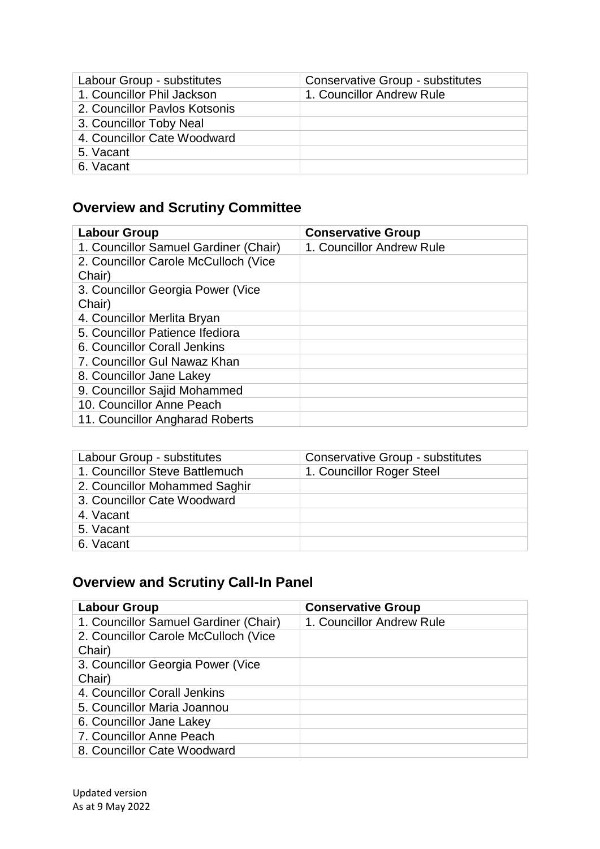| Labour Group - substitutes    | <b>Conservative Group - substitutes</b> |
|-------------------------------|-----------------------------------------|
| 1. Councillor Phil Jackson    | 1. Councillor Andrew Rule               |
| 2. Councillor Paylos Kotsonis |                                         |
| 3. Councillor Toby Neal       |                                         |
| 4. Councillor Cate Woodward   |                                         |
| 5. Vacant                     |                                         |
| 6. Vacant                     |                                         |

# **Overview and Scrutiny Committee**

| <b>Labour Group</b>                   | <b>Conservative Group</b> |
|---------------------------------------|---------------------------|
| 1. Councillor Samuel Gardiner (Chair) | 1. Councillor Andrew Rule |
| 2. Councillor Carole McCulloch (Vice  |                           |
| Chair)                                |                           |
| 3. Councillor Georgia Power (Vice     |                           |
| Chair)                                |                           |
| 4. Councillor Merlita Bryan           |                           |
| 5. Councillor Patience Ifediora       |                           |
| 6. Councillor Corall Jenkins          |                           |
| 7. Councillor Gul Nawaz Khan          |                           |
| 8. Councillor Jane Lakey              |                           |
| 9. Councillor Sajid Mohammed          |                           |
| 10. Councillor Anne Peach             |                           |
| 11. Councillor Angharad Roberts       |                           |

| Labour Group - substitutes     | <b>Conservative Group - substitutes</b> |
|--------------------------------|-----------------------------------------|
| 1. Councillor Steve Battlemuch | 1. Councillor Roger Steel               |
| 2. Councillor Mohammed Saghir  |                                         |
| 3. Councillor Cate Woodward    |                                         |
| 4. Vacant                      |                                         |
| 5. Vacant                      |                                         |
| 6. Vacant                      |                                         |

# **Overview and Scrutiny Call-In Panel**

| <b>Labour Group</b>                   | <b>Conservative Group</b> |
|---------------------------------------|---------------------------|
| 1. Councillor Samuel Gardiner (Chair) | 1. Councillor Andrew Rule |
| 2. Councillor Carole McCulloch (Vice  |                           |
| Chair)                                |                           |
| 3. Councillor Georgia Power (Vice     |                           |
| Chair)                                |                           |
| 4. Councillor Corall Jenkins          |                           |
| 5. Councillor Maria Joannou           |                           |
| 6. Councillor Jane Lakey              |                           |
| 7. Councillor Anne Peach              |                           |
| 8. Councillor Cate Woodward           |                           |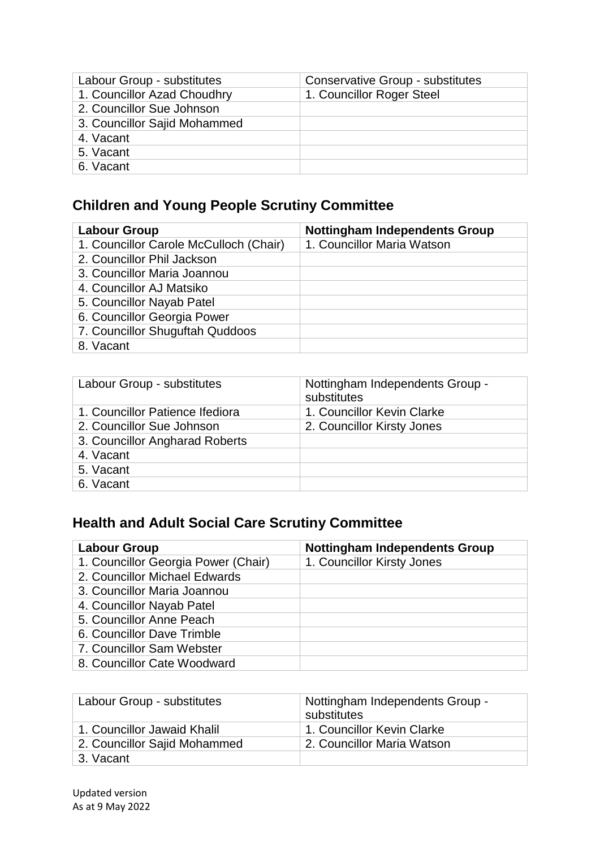| Labour Group - substitutes   | <b>Conservative Group - substitutes</b> |
|------------------------------|-----------------------------------------|
| 1. Councillor Azad Choudhry  | 1. Councillor Roger Steel               |
| 2. Councillor Sue Johnson    |                                         |
| 3. Councillor Sajid Mohammed |                                         |
| 4. Vacant                    |                                         |
| 5. Vacant                    |                                         |
| 6. Vacant                    |                                         |

## **Children and Young People Scrutiny Committee**

| <b>Labour Group</b>                    | <b>Nottingham Independents Group</b> |
|----------------------------------------|--------------------------------------|
| 1. Councillor Carole McCulloch (Chair) | 1. Councillor Maria Watson           |
| 2. Councillor Phil Jackson             |                                      |
| 3. Councillor Maria Joannou            |                                      |
| 4. Councillor AJ Matsiko               |                                      |
| 5. Councillor Nayab Patel              |                                      |
| 6. Councillor Georgia Power            |                                      |
| 7. Councillor Shuguftah Quddoos        |                                      |
| 8. Vacant                              |                                      |

| Labour Group - substitutes      | Nottingham Independents Group -<br>substitutes |
|---------------------------------|------------------------------------------------|
| 1. Councillor Patience Ifediora | 1. Councillor Kevin Clarke                     |
| 2. Councillor Sue Johnson       | 2. Councillor Kirsty Jones                     |
| 3. Councillor Angharad Roberts  |                                                |
| 4. Vacant                       |                                                |
| 5. Vacant                       |                                                |
| 6. Vacant                       |                                                |

## **Health and Adult Social Care Scrutiny Committee**

| <b>Labour Group</b>                 | <b>Nottingham Independents Group</b> |
|-------------------------------------|--------------------------------------|
| 1. Councillor Georgia Power (Chair) | 1. Councillor Kirsty Jones           |
| 2. Councillor Michael Edwards       |                                      |
| 3. Councillor Maria Joannou         |                                      |
| 4. Councillor Nayab Patel           |                                      |
| 5. Councillor Anne Peach            |                                      |
| 6. Councillor Dave Trimble          |                                      |
| 7. Councillor Sam Webster           |                                      |
| 8. Councillor Cate Woodward         |                                      |

| Labour Group - substitutes   | Nottingham Independents Group -<br>substitutes |
|------------------------------|------------------------------------------------|
| 1. Councillor Jawaid Khalil  | 1. Councillor Kevin Clarke                     |
| 2. Councillor Sajid Mohammed | 2. Councillor Maria Watson                     |
| 3. Vacant                    |                                                |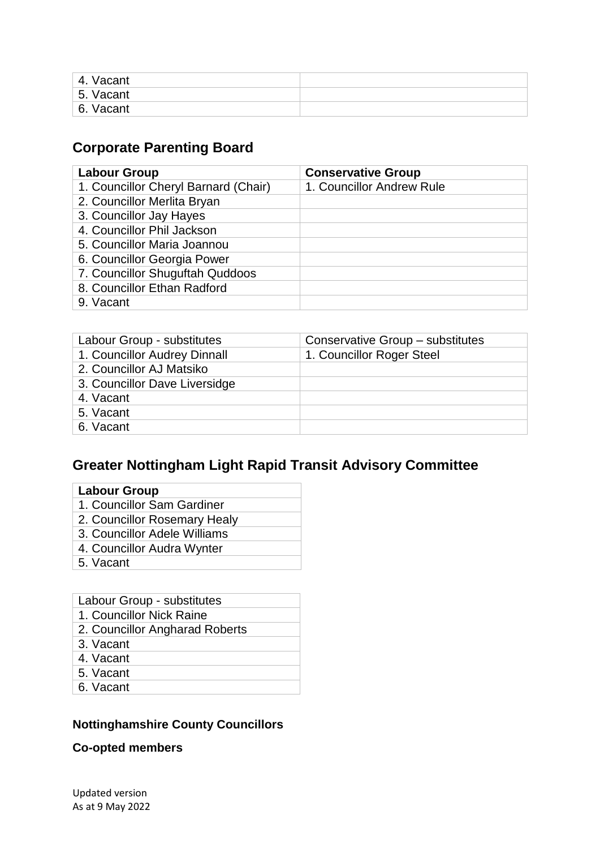| 4. Vacant    |  |
|--------------|--|
| 5.<br>Vacant |  |
| 6. Vacant    |  |

## **Corporate Parenting Board**

| <b>Labour Group</b>                  | <b>Conservative Group</b> |
|--------------------------------------|---------------------------|
| 1. Councillor Cheryl Barnard (Chair) | 1. Councillor Andrew Rule |
| 2. Councillor Merlita Bryan          |                           |
| 3. Councillor Jay Hayes              |                           |
| 4. Councillor Phil Jackson           |                           |
| 5. Councillor Maria Joannou          |                           |
| 6. Councillor Georgia Power          |                           |
| 7. Councillor Shuguftah Quddoos      |                           |
| 8. Councillor Ethan Radford          |                           |
| 9. Vacant                            |                           |

| Labour Group - substitutes    | Conservative Group - substitutes |
|-------------------------------|----------------------------------|
| 1. Councillor Audrey Dinnall  | 1. Councillor Roger Steel        |
| 2. Councillor AJ Matsiko      |                                  |
| 3. Councillor Dave Liversidge |                                  |
| 4. Vacant                     |                                  |
| 5. Vacant                     |                                  |
| 6. Vacant                     |                                  |

## **Greater Nottingham Light Rapid Transit Advisory Committee**

| ∟abour Group |
|--------------|
|--------------|

- 1. Councillor Sam Gardiner
- 2. Councillor Rosemary Healy
- 3. Councillor Adele Williams
- 4. Councillor Audra Wynter
- 5. Vacant

| Labour Group - substitutes |  |
|----------------------------|--|
|----------------------------|--|

- 1. Councillor Nick Raine
- 2. Councillor Angharad Roberts
- 3. Vacant
- 4. Vacant
- 5. Vacant
- 6. Vacant

#### **Nottinghamshire County Councillors**

#### **Co-opted members**

Updated version As at 9 May 2022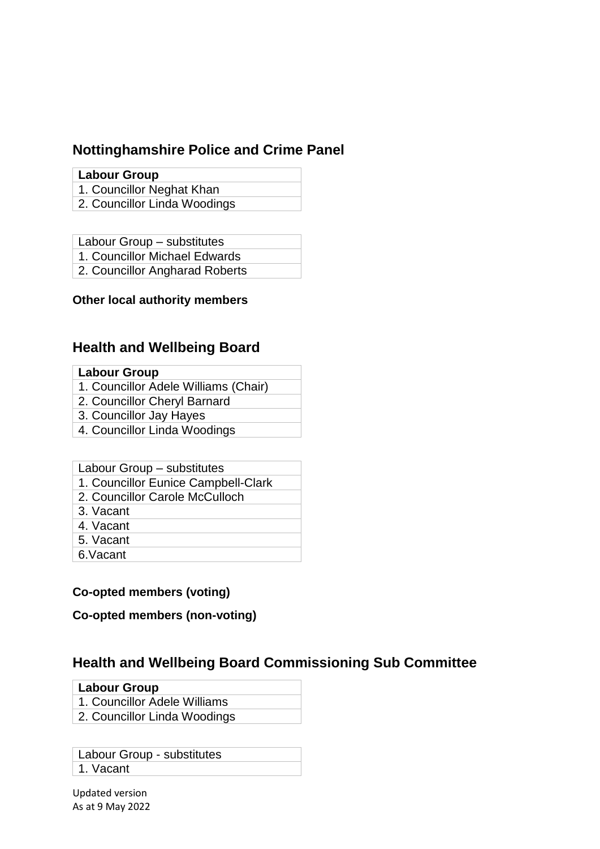### **Nottinghamshire Police and Crime Panel**

#### **Labour Group**

- 1. Councillor Neghat Khan
- 2. Councillor Linda Woodings

Labour Group – substitutes

1. Councillor Michael Edwards

2. Councillor Angharad Roberts

#### **Other local authority members**

### **Health and Wellbeing Board**

#### **Labour Group**

- 1. Councillor Adele Williams (Chair)
- 2. Councillor Cheryl Barnard
- 3. Councillor Jay Hayes
- 4. Councillor Linda Woodings

#### Labour Group – substitutes

- 1. Councillor Eunice Campbell-Clark
- 2. Councillor Carole McCulloch
- 3. Vacant
- 4. Vacant
- 5. Vacant
- 6.Vacant

#### **Co-opted members (voting)**

**Co-opted members (non-voting)**

### **Health and Wellbeing Board Commissioning Sub Committee**

#### **Labour Group**

- 1. Councillor Adele Williams
- 2. Councillor Linda Woodings

Labour Group - substitutes 1. Vacant

Updated version As at 9 May 2022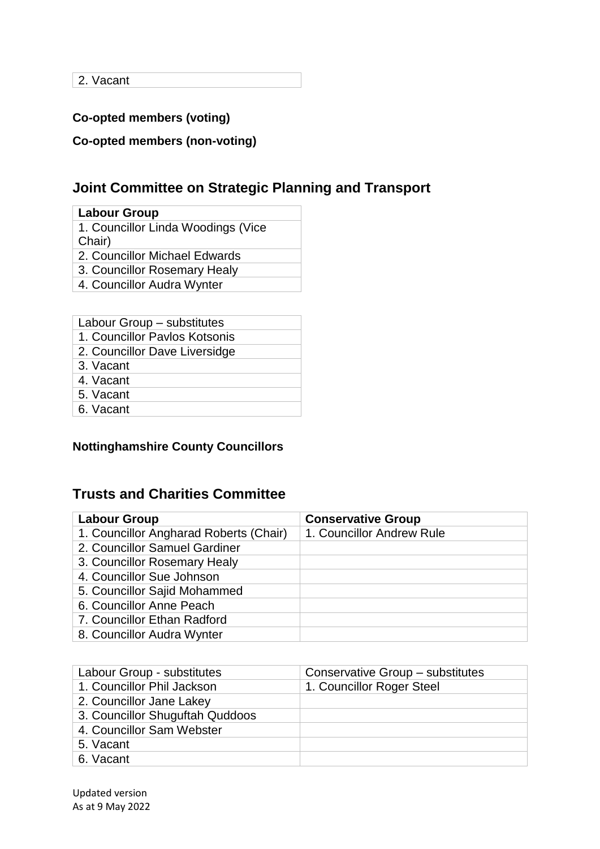2. Vacant

### **Co-opted members (voting)**

**Co-opted members (non-voting)**

## **Joint Committee on Strategic Planning and Transport**

| <b>Labour Group</b>                          |
|----------------------------------------------|
| 1. Councillor Linda Woodings (Vice<br>Chair) |
| 2. Councillor Michael Edwards                |
| 3. Councillor Rosemary Healy                 |

4. Councillor Audra Wynter

| Labour Group – substitutes    |
|-------------------------------|
| 1. Councillor Paylos Kotsonis |
| 2. Councillor Dave Liversidge |
| 3. Vacant                     |
| 4. Vacant                     |
| 5. Vacant                     |
| 6. Vacant                     |
|                               |

#### **Nottinghamshire County Councillors**

### **Trusts and Charities Committee**

| <b>Labour Group</b>                    | <b>Conservative Group</b> |
|----------------------------------------|---------------------------|
| 1. Councillor Angharad Roberts (Chair) | 1. Councillor Andrew Rule |
| 2. Councillor Samuel Gardiner          |                           |
| 3. Councillor Rosemary Healy           |                           |
| 4. Councillor Sue Johnson              |                           |
| 5. Councillor Sajid Mohammed           |                           |
| 6. Councillor Anne Peach               |                           |
| 7. Councillor Ethan Radford            |                           |
| 8. Councillor Audra Wynter             |                           |

| Labour Group - substitutes      | Conservative Group – substitutes |
|---------------------------------|----------------------------------|
| 1. Councillor Phil Jackson      | 1. Councillor Roger Steel        |
| 2. Councillor Jane Lakey        |                                  |
| 3. Councillor Shuguftah Quddoos |                                  |
| 4. Councillor Sam Webster       |                                  |
| 5. Vacant                       |                                  |
| 6. Vacant                       |                                  |